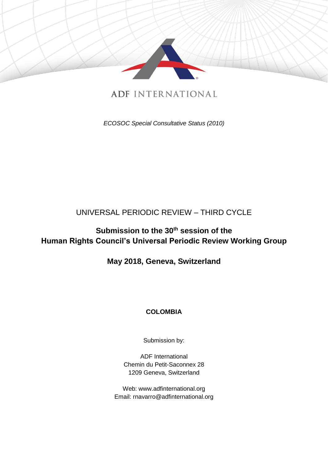

# **ADF INTERNATIONAL**

*ECOSOC Special Consultative Status (2010)*

## UNIVERSAL PERIODIC REVIEW – THIRD CYCLE

# **Submission to the 30th session of the Human Rights Council's Universal Periodic Review Working Group**

## **May 2018, Geneva, Switzerland**

### **COLOMBIA**

Submission by:

ADF International Chemin du Petit-Saconnex 28 1209 Geneva, Switzerland

Web: www.adfinternational.org Email: rnavarro@adfinternational.org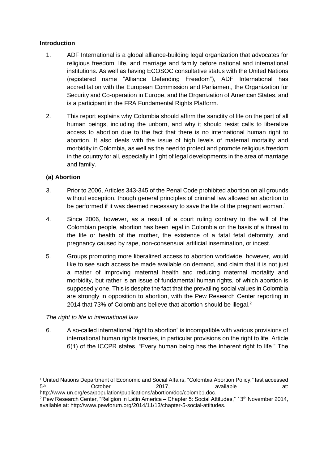#### **Introduction**

- 1. ADF International is a global alliance-building legal organization that advocates for religious freedom, life, and marriage and family before national and international institutions. As well as having ECOSOC consultative status with the United Nations (registered name "Alliance Defending Freedom"), ADF International has accreditation with the European Commission and Parliament, the Organization for Security and Co-operation in Europe, and the Organization of American States, and is a participant in the FRA Fundamental Rights Platform.
- 2. This report explains why Colombia should affirm the sanctity of life on the part of all human beings, including the unborn, and why it should resist calls to liberalize access to abortion due to the fact that there is no international human right to abortion. It also deals with the issue of high levels of maternal mortality and morbidity in Colombia, as well as the need to protect and promote religious freedom in the country for all, especially in light of legal developments in the area of marriage and family.

#### **(a) Abortion**

-

- 3. Prior to 2006, Articles 343-345 of the Penal Code prohibited abortion on all grounds without exception, though general principles of criminal law allowed an abortion to be performed if it was deemed necessary to save the life of the pregnant woman.<sup>1</sup>
- 4. Since 2006, however, as a result of a court ruling contrary to the will of the Colombian people, abortion has been legal in Colombia on the basis of a threat to the life or health of the mother, the existence of a fatal fetal deformity, and pregnancy caused by rape, non-consensual artificial insemination, or incest.
- 5. Groups promoting more liberalized access to abortion worldwide, however, would like to see such access be made available on demand, and claim that it is not just a matter of improving maternal health and reducing maternal mortality and morbidity, but rather is an issue of fundamental human rights, of which abortion is supposedly one. This is despite the fact that the prevailing social values in Colombia are strongly in opposition to abortion, with the Pew Research Center reporting in 2014 that 73% of Colombians believe that abortion should be illegal.<sup>2</sup>

#### *The right to life in international law*

6. A so-called international "right to abortion" is incompatible with various provisions of international human rights treaties, in particular provisions on the right to life. Article 6(1) of the ICCPR states, "Every human being has the inherent right to life." The

<sup>1</sup> United Nations Department of Economic and Social Affairs, "Colombia Abortion Policy," last accessed  $5<sup>th</sup>$ th **October 2017, available at:** http://www.un.org/esa/population/publications/abortion/doc/colomb1.doc.

<sup>2</sup> Pew Research Center, "Religion in Latin America – Chapter 5: Social Attitudes," 13th November 2014, available at: http://www.pewforum.org/2014/11/13/chapter-5-social-attitudes.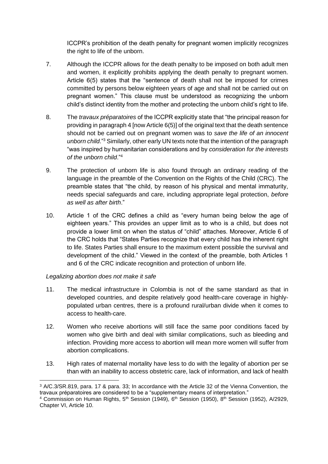ICCPR's prohibition of the death penalty for pregnant women implicitly recognizes the right to life of the unborn.

- 7. Although the ICCPR allows for the death penalty to be imposed on both adult men and women, it explicitly prohibits applying the death penalty to pregnant women. Article 6(5) states that the "sentence of death shall not be imposed for crimes committed by persons below eighteen years of age and shall not be carried out on pregnant women." This clause must be understood as recognizing the unborn child's distinct identity from the mother and protecting the unborn child's right to life.
- 8. The *travaux préparatoires* of the ICCPR explicitly state that "the principal reason for providing in paragraph 4 [now Article 6(5)] of the original text that the death sentence should not be carried out on pregnant women was to *save the life of an innocent unborn child*."<sup>3</sup> Similarly, other early UN texts note that the intention of the paragraph "was inspired by humanitarian considerations and by *consideration for the interests of the unborn child*."<sup>4</sup>
- 9. The protection of unborn life is also found through an ordinary reading of the language in the preamble of the Convention on the Rights of the Child (CRC). The preamble states that "the child, by reason of his physical and mental immaturity, needs special safeguards and care, including appropriate legal protection, *before as well as after birth*."
- 10. Article 1 of the CRC defines a child as "every human being below the age of eighteen years." This provides an upper limit as to who is a child, but does not provide a lower limit on when the status of "child" attaches. Moreover, Article 6 of the CRC holds that "States Parties recognize that every child has the inherent right to life. States Parties shall ensure to the maximum extent possible the survival and development of the child." Viewed in the context of the preamble, both Articles 1 and 6 of the CRC indicate recognition and protection of unborn life.

#### *Legalizing abortion does not make it safe*

- 11. The medical infrastructure in Colombia is not of the same standard as that in developed countries, and despite relatively good health-care coverage in highlypopulated urban centres, there is a profound rural/urban divide when it comes to access to health-care.
- 12. Women who receive abortions will still face the same poor conditions faced by women who give birth and deal with similar complications, such as bleeding and infection. Providing more access to abortion will mean more women will suffer from abortion complications.
- 13. High rates of maternal mortality have less to do with the legality of abortion per se than with an inability to access obstetric care, lack of information, and lack of health

<sup>-</sup><sup>3</sup> A/C.3/SR.819, para. 17 & para. 33; In accordance with the Article 32 of the Vienna Convention, the travaux préparatoires are considered to be a "supplementary means of interpretation."

<sup>&</sup>lt;sup>4</sup> Commission on Human Rights, 5<sup>th</sup> Session (1949), 6<sup>th</sup> Session (1950), 8<sup>th</sup> Session (1952), A/2929, Chapter VI, Article 10.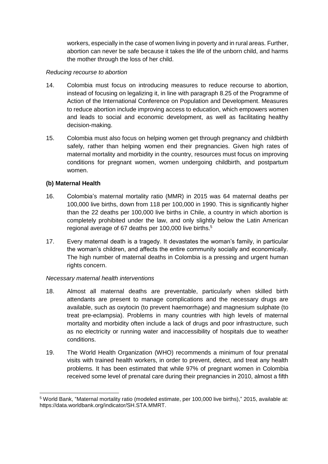workers, especially in the case of women living in poverty and in rural areas. Further, abortion can never be safe because it takes the life of the unborn child, and harms the mother through the loss of her child.

#### *Reducing recourse to abortion*

- 14. Colombia must focus on introducing measures to reduce recourse to abortion, instead of focusing on legalizing it, in line with paragraph 8.25 of the Programme of Action of the International Conference on Population and Development. Measures to reduce abortion include improving access to education, which empowers women and leads to social and economic development, as well as facilitating healthy decision-making.
- 15. Colombia must also focus on helping women get through pregnancy and childbirth safely, rather than helping women end their pregnancies. Given high rates of maternal mortality and morbidity in the country, resources must focus on improving conditions for pregnant women, women undergoing childbirth, and postpartum women.

#### **(b) Maternal Health**

- 16. Colombia's maternal mortality ratio (MMR) in 2015 was 64 maternal deaths per 100,000 live births, down from 118 per 100,000 in 1990. This is significantly higher than the 22 deaths per 100,000 live births in Chile, a country in which abortion is completely prohibited under the law, and only slightly below the Latin American regional average of 67 deaths per 100,000 live births. 5
- 17. Every maternal death is a tragedy. It devastates the woman's family, in particular the woman's children, and affects the entire community socially and economically. The high number of maternal deaths in Colombia is a pressing and urgent human rights concern.

#### *Necessary maternal health interventions*

- 18. Almost all maternal deaths are preventable, particularly when skilled birth attendants are present to manage complications and the necessary drugs are available, such as oxytocin (to prevent haemorrhage) and magnesium sulphate (to treat pre-eclampsia). Problems in many countries with high levels of maternal mortality and morbidity often include a lack of drugs and poor infrastructure, such as no electricity or running water and inaccessibility of hospitals due to weather conditions.
- 19. The World Health Organization (WHO) recommends a minimum of four prenatal visits with trained health workers, in order to prevent, detect, and treat any health problems. It has been estimated that while 97% of pregnant women in Colombia received some level of prenatal care during their pregnancies in 2010, almost a fifth

<sup>-</sup><sup>5</sup> World Bank, "Maternal mortality ratio (modeled estimate, per 100,000 live births)," 2015, available at: https://data.worldbank.org/indicator/SH.STA.MMRT.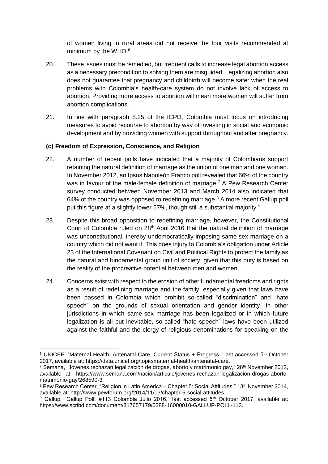of women living in rural areas did not receive the four visits recommended at minimum by the WHO.<sup>6</sup>

- 20. These issues must be remedied, but frequent calls to increase legal abortion access as a necessary precondition to solving them are misguided. Legalizing abortion also does not guarantee that pregnancy and childbirth will become safer when the real problems with Colombia's health-care system do not involve lack of access to abortion. Providing more access to abortion will mean more women will suffer from abortion complications.
- 21. In line with paragraph 8.25 of the ICPD, Colombia must focus on introducing measures to avoid recourse to abortion by way of investing in social and economic development and by providing women with support throughout and after pregnancy.

#### **(c) Freedom of Expression, Conscience, and Religion**

- 22. A number of recent polls have indicated that a majority of Colombians support retaining the natural definition of marriage as the union of one man and one woman. In November 2012, an Ipsos Napoleón Franco poll revealed that 66% of the country was in favour of the male-female definition of marriage.<sup>7</sup> A Pew Research Center survey conducted between November 2013 and March 2014 also indicated that 64% of the country was opposed to redefining marriage.<sup>8</sup> A more recent Gallup poll put this figure at a slightly lower 57%, though still a substantial majority.<sup>9</sup>
- 23. Despite this broad opposition to redefining marriage, however, the Constitutional Court of Colombia ruled on 28<sup>th</sup> April 2016 that the natural definition of marriage was unconstitutional, thereby undemocratically imposing same-sex marriage on a country which did not want it. This does injury to Colombia's obligation under Article 23 of the International Covenant on Civil and Political Rights to protect the family as the natural and fundamental group unit of society, given that this duty is based on the reality of the procreative potential between men and women.
- 24. Concerns exist with respect to the erosion of other fundamental freedoms and rights as a result of redefining marriage and the family, especially given that laws have been passed in Colombia which prohibit so-called "discrimination" and "hate speech" on the grounds of sexual orientation and gender identity. In other jurisdictions in which same-sex marriage has been legalized or in which future legalization is all but inevitable, so-called "hate speech" laws have been utilized against the faithful and the clergy of religious denominations for speaking on the

<sup>-</sup><sup>6</sup> UNICEF, "Maternal Health, Antenatal Care, Current Status + Progress," last accessed 5<sup>th</sup> October 2017, available at: https://data.unicef.org/topic/maternal-health/antenatal-care.

<sup>&</sup>lt;sup>7</sup> Semana, "Jóvenes rechazan legalización de drogas, aborto y matrimonio gay," 28<sup>th</sup> November 2012, available at: https://www.semana.com/nacion/articulo/jovenes-rechazan-legalizacion-drogas-abortomatrimonio-gay/268590-3.

<sup>8</sup> Pew Research Center, "Religion in Latin America – Chapter 5: Social Attitudes," 13th November 2014, available at: http://www.pewforum.org/2014/11/13/chapter-5-social-attitudes.

<sup>&</sup>lt;sup>9</sup> Gallup, "Gallup Poll: #113 Colombia Julio 2016," last accessed 5<sup>th</sup> October 2017, available at: https://www.scribd.com/document/317657179/0388-16000010-GALLUP-POLL-113.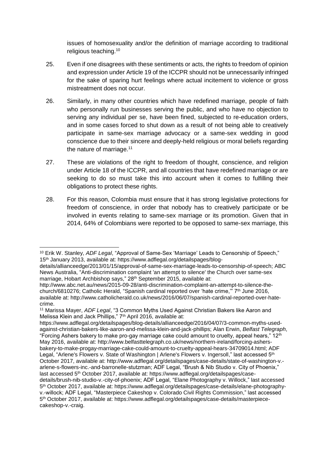issues of homosexuality and/or the definition of marriage according to traditional religious teaching.<sup>10</sup>

- 25. Even if one disagrees with these sentiments or acts, the rights to freedom of opinion and expression under Article 19 of the ICCPR should not be unnecessarily infringed for the sake of sparing hurt feelings where actual incitement to violence or gross mistreatment does not occur.
- 26. Similarly, in many other countries which have redefined marriage, people of faith who personally run businesses serving the public, and who have no objection to serving any individual per se, have been fined, subjected to re-education orders, and in some cases forced to shut down as a result of not being able to creatively participate in same-sex marriage advocacy or a same-sex wedding in good conscience due to their sincere and deeply-held religious or moral beliefs regarding the nature of marriage.<sup>11</sup>
- 27. These are violations of the right to freedom of thought, conscience, and religion under Article 18 of the ICCPR, and all countries that have redefined marriage or are seeking to do so must take this into account when it comes to fulfilling their obligations to protect these rights.
- 28. For this reason, Colombia must ensure that it has strong legislative protections for freedom of conscience, in order that nobody has to creatively participate or be involved in events relating to same-sex marriage or its promotion. Given that in 2014, 64% of Colombians were reported to be opposed to same-sex marriage, this

<sup>-</sup><sup>10</sup> Erik W. Stanley, *ADF Legal*, "Approval of Same-Sex 'Marriage' Leads to Censorship of Speech," 15th January 2013, available at: https://www.adflegal.org/detailspages/blog-

details/allianceedge/2013/01/15/approval-of-same-sex-marriage-leads-to-censorship-of-speech; ABC News Australia, "Anti-discrimination complaint 'an attempt to silence' the Church over same-sex marriage, Hobart Archbishop says," 28<sup>th</sup> September 2015, available at:

http://www.abc.net.au/news/2015-09-28/anti-discrimination-complaint-an-attempt-to-silence-thechurch/6810276; Catholic Herald, "Spanish cardinal reported over 'hate crime," 7<sup>th</sup> June 2016, available at: http://www.catholicherald.co.uk/news/2016/06/07/spanish-cardinal-reported-over-hatecrime.

<sup>11</sup> Marissa Mayer, *ADF Legal*, "3 Common Myths Used Against Christian Bakers like Aaron and Melissa Klein and Jack Phillips," 7th April 2016, available at:

https://www.adflegal.org/detailspages/blog-details/allianceedge/2016/04/07/3-common-myths-usedagainst-christian-bakers-like-aaron-and-melissa-klein-and-jack-phillips; Alan Erwin, *Belfast Telegraph*, "Forcing Ashers bakery to make pro-gay marriage cake could amount to cruelty, appeal hears," 12th May 2016, available at: http://www.belfasttelegraph.co.uk/news/northern-ireland/forcing-ashersbakery-to-make-progay-marriage-cake-could-amount-to-cruelty-appeal-hears-34709014.html; ADF Legal, "Arlene's Flowers v. State of Washington | Arlene's Flowers v. Ingersoll," last accessed 5<sup>th</sup> October 2017, available at: http://www.adflegal.org/detailspages/case-details/state-of-washington-v. arlene-s-flowers-inc.-and-barronelle-stutzman; ADF Legal, "Brush & Nib Studio v. City of Phoenix," last accessed 5<sup>th</sup> October 2017, available at: https://www.adflegal.org/detailspages/casedetails/brush-nib-studio-v.-city-of-phoenix; ADF Legal, "Elane Photography v. Willock," last accessed 5 th October 2017, available at: https://www.adflegal.org/detailspages/case-details/elane-photographyv.-willock; ADF Legal, "Masterpiece Cakeshop v. Colorado Civil Rights Commission," last accessed 5 th October 2017, available at: https://www.adflegal.org/detailspages/case-details/masterpiececakeshop-v.-craig.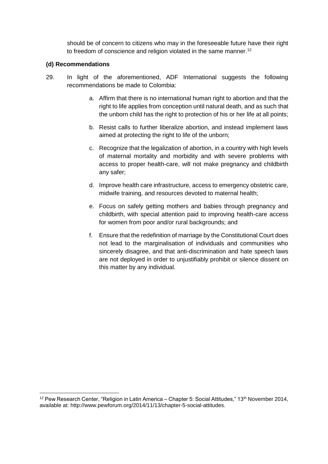should be of concern to citizens who may in the foreseeable future have their right to freedom of conscience and religion violated in the same manner.<sup>12</sup>

#### **(d) Recommendations**

- 29. In light of the aforementioned, ADF International suggests the following recommendations be made to Colombia:
	- a. Affirm that there is no international human right to abortion and that the right to life applies from conception until natural death, and as such that the unborn child has the right to protection of his or her life at all points;
	- b. Resist calls to further liberalize abortion, and instead implement laws aimed at protecting the right to life of the unborn;
	- c. Recognize that the legalization of abortion, in a country with high levels of maternal mortality and morbidity and with severe problems with access to proper health-care, will not make pregnancy and childbirth any safer;
	- d. Improve health care infrastructure, access to emergency obstetric care, midwife training, and resources devoted to maternal health;
	- e. Focus on safely getting mothers and babies through pregnancy and childbirth, with special attention paid to improving health-care access for women from poor and/or rural backgrounds; and
	- f. Ensure that the redefinition of marriage by the Constitutional Court does not lead to the marginalisation of individuals and communities who sincerely disagree, and that anti-discrimination and hate speech laws are not deployed in order to unjustifiably prohibit or silence dissent on this matter by any individual.

<sup>-</sup> $12$  Pew Research Center, "Religion in Latin America – Chapter 5: Social Attitudes,"  $13<sup>th</sup>$  November 2014, available at: http://www.pewforum.org/2014/11/13/chapter-5-social-attitudes.